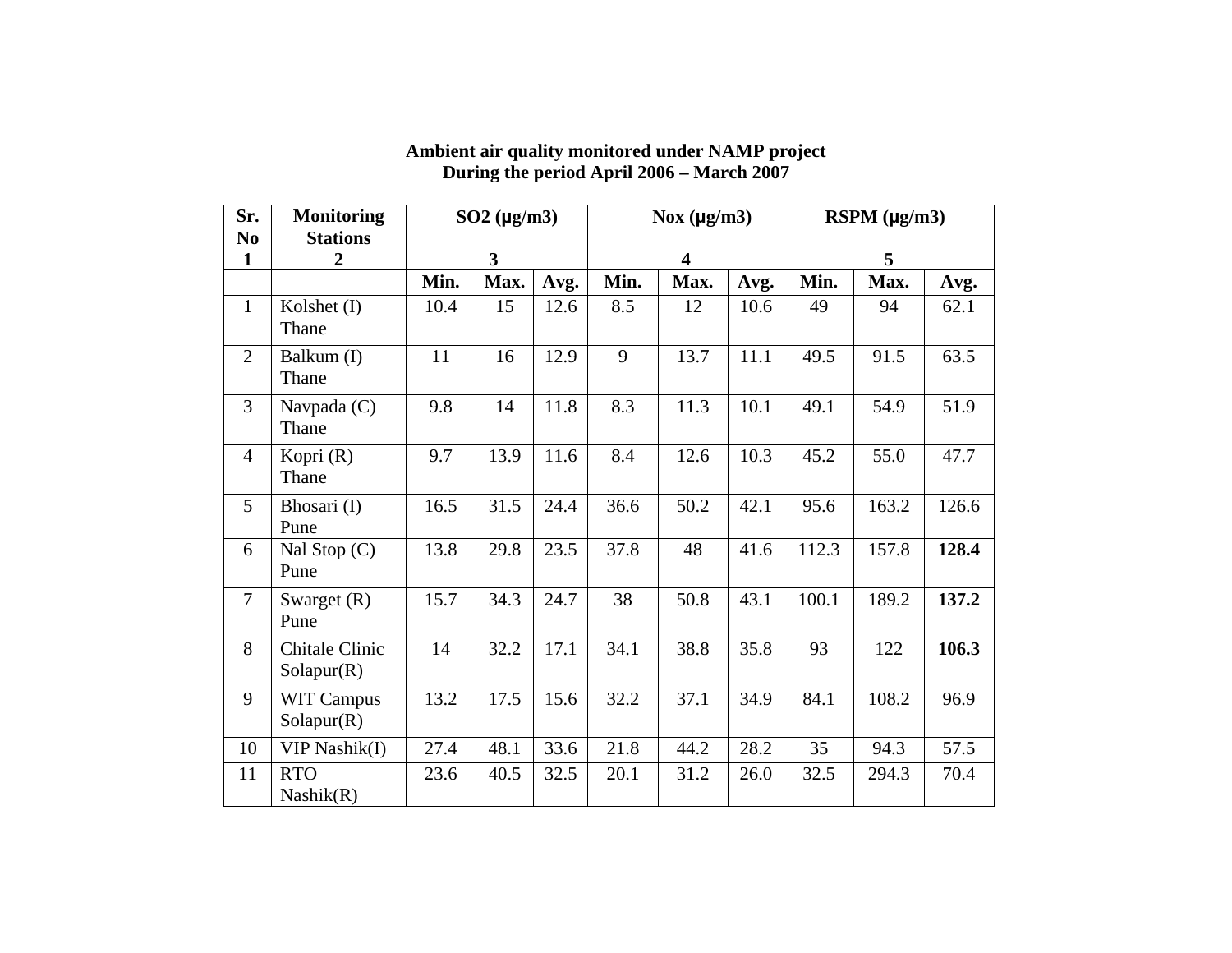| Sr.<br>N <sub>0</sub> | <b>Monitoring</b><br><b>Stations</b> | $SO2$ ( $\mu$ g/m3)     |      |      |                         | Nox $(\mu g/m3)$ |      | RSPM (µg/m3) |       |       |  |
|-----------------------|--------------------------------------|-------------------------|------|------|-------------------------|------------------|------|--------------|-------|-------|--|
| $\mathbf{1}$          | $\overline{2}$                       | $\overline{\mathbf{3}}$ |      |      | $\overline{\mathbf{4}}$ |                  |      | 5            |       |       |  |
|                       |                                      | Min.                    | Max. | Avg. | Min.                    | Max.             | Avg. | Min.         | Max.  | Avg.  |  |
| $\mathbf{1}$          | Kolshet (I)<br>Thane                 | 10.4                    | 15   | 12.6 | 8.5                     | 12               | 10.6 | 49           | 94    | 62.1  |  |
| $\overline{2}$        | Balkum (I)<br>Thane                  | 11                      | 16   | 12.9 | 9                       | 13.7             | 11.1 | 49.5         | 91.5  | 63.5  |  |
| 3                     | Navpada $(C)$<br>Thane               | 9.8                     | 14   | 11.8 | 8.3                     | 11.3             | 10.1 | 49.1         | 54.9  | 51.9  |  |
| $\overline{4}$        | Kopri (R)<br>Thane                   | 9.7                     | 13.9 | 11.6 | 8.4                     | 12.6             | 10.3 | 45.2         | 55.0  | 47.7  |  |
| 5                     | Bhosari (I)<br>Pune                  | 16.5                    | 31.5 | 24.4 | 36.6                    | 50.2             | 42.1 | 95.6         | 163.2 | 126.6 |  |
| 6                     | Nal Stop $(C)$<br>Pune               | 13.8                    | 29.8 | 23.5 | 37.8                    | 48               | 41.6 | 112.3        | 157.8 | 128.4 |  |
| $\overline{7}$        | Swarget $(R)$<br>Pune                | 15.7                    | 34.3 | 24.7 | 38                      | 50.8             | 43.1 | 100.1        | 189.2 | 137.2 |  |
| 8                     | Chitale Clinic<br>Solapur(R)         | 14                      | 32.2 | 17.1 | 34.1                    | 38.8             | 35.8 | 93           | 122   | 106.3 |  |
| 9                     | <b>WIT Campus</b><br>Solapur(R)      | 13.2                    | 17.5 | 15.6 | 32.2                    | 37.1             | 34.9 | 84.1         | 108.2 | 96.9  |  |
| 10                    | VIP Nashik(I)                        | 27.4                    | 48.1 | 33.6 | 21.8                    | 44.2             | 28.2 | 35           | 94.3  | 57.5  |  |
| 11                    | <b>RTO</b><br>Nashik(R)              | 23.6                    | 40.5 | 32.5 | 20.1                    | 31.2             | 26.0 | 32.5         | 294.3 | 70.4  |  |

## **Ambient air quality monitored under NAMP project During the period April 2006 – March 2007**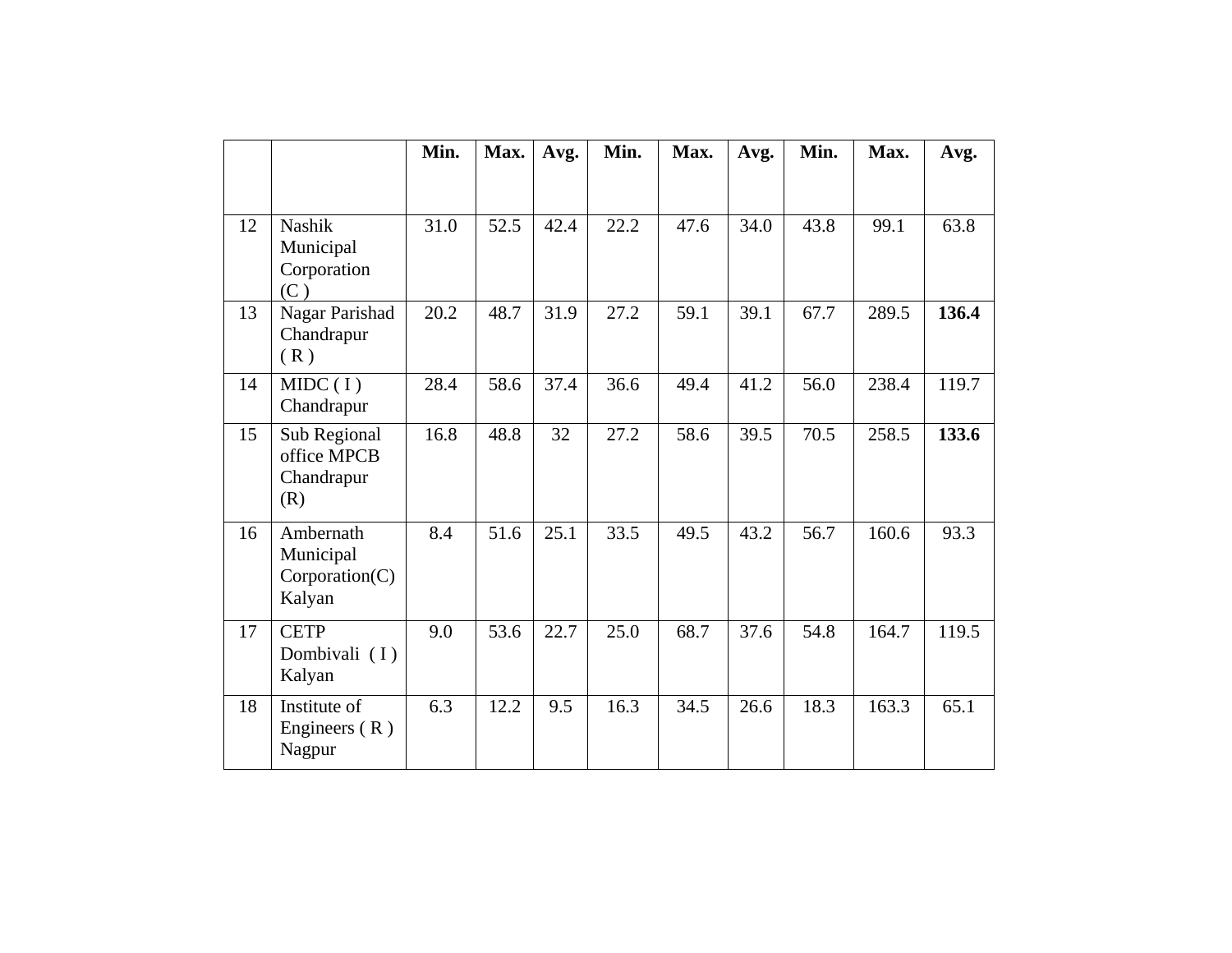|    |                                                    | Min. | Max. | Avg. | Min. | Max. | Avg. | Min. | Max.  | Avg.  |
|----|----------------------------------------------------|------|------|------|------|------|------|------|-------|-------|
|    |                                                    |      |      |      |      |      |      |      |       |       |
| 12 | Nashik<br>Municipal<br>Corporation<br>(C)          | 31.0 | 52.5 | 42.4 | 22.2 | 47.6 | 34.0 | 43.8 | 99.1  | 63.8  |
| 13 | Nagar Parishad<br>Chandrapur<br>(R)                | 20.2 | 48.7 | 31.9 | 27.2 | 59.1 | 39.1 | 67.7 | 289.5 | 136.4 |
| 14 | MIDC(I)<br>Chandrapur                              | 28.4 | 58.6 | 37.4 | 36.6 | 49.4 | 41.2 | 56.0 | 238.4 | 119.7 |
| 15 | Sub Regional<br>office MPCB<br>Chandrapur<br>(R)   | 16.8 | 48.8 | 32   | 27.2 | 58.6 | 39.5 | 70.5 | 258.5 | 133.6 |
| 16 | Ambernath<br>Municipal<br>Corporation(C)<br>Kalyan | 8.4  | 51.6 | 25.1 | 33.5 | 49.5 | 43.2 | 56.7 | 160.6 | 93.3  |
| 17 | <b>CETP</b><br>Dombivali (I)<br>Kalyan             | 9.0  | 53.6 | 22.7 | 25.0 | 68.7 | 37.6 | 54.8 | 164.7 | 119.5 |
| 18 | Institute of<br>Engineers $(R)$<br>Nagpur          | 6.3  | 12.2 | 9.5  | 16.3 | 34.5 | 26.6 | 18.3 | 163.3 | 65.1  |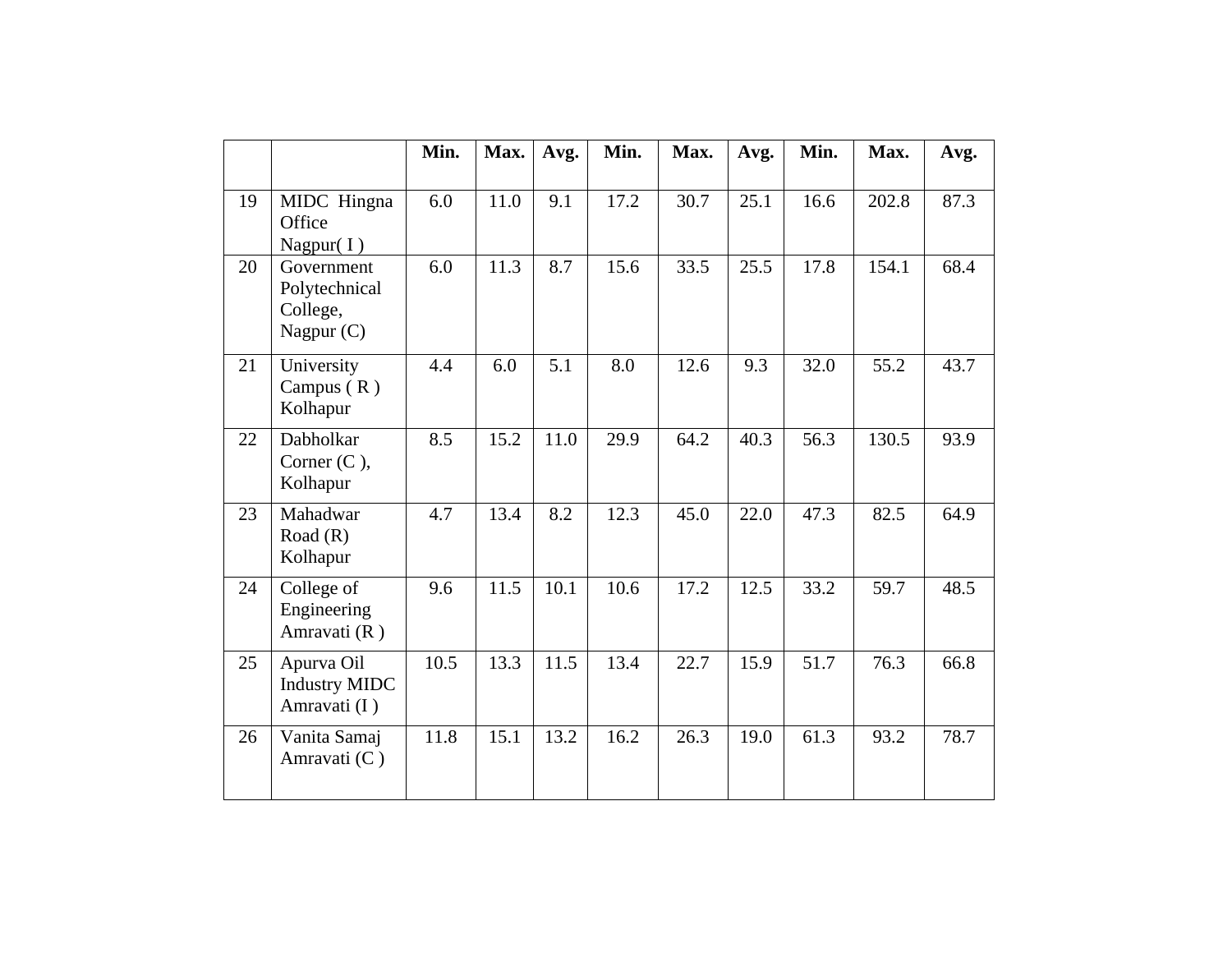|    |                                                       | Min. | Max. | Avg. | Min. | Max. | Avg. | Min. | Max.  | Avg. |
|----|-------------------------------------------------------|------|------|------|------|------|------|------|-------|------|
| 19 | MIDC Hingna<br>Office<br>Nagpur $(I)$                 | 6.0  | 11.0 | 9.1  | 17.2 | 30.7 | 25.1 | 16.6 | 202.8 | 87.3 |
| 20 | Government<br>Polytechnical<br>College,<br>Nagpur (C) | 6.0  | 11.3 | 8.7  | 15.6 | 33.5 | 25.5 | 17.8 | 154.1 | 68.4 |
| 21 | University<br>Campus $(R)$<br>Kolhapur                | 4.4  | 6.0  | 5.1  | 8.0  | 12.6 | 9.3  | 32.0 | 55.2  | 43.7 |
| 22 | Dabholkar<br>Corner $(C)$ ,<br>Kolhapur               | 8.5  | 15.2 | 11.0 | 29.9 | 64.2 | 40.3 | 56.3 | 130.5 | 93.9 |
| 23 | Mahadwar<br>Road $(R)$<br>Kolhapur                    | 4.7  | 13.4 | 8.2  | 12.3 | 45.0 | 22.0 | 47.3 | 82.5  | 64.9 |
| 24 | College of<br>Engineering<br>Amravati (R)             | 9.6  | 11.5 | 10.1 | 10.6 | 17.2 | 12.5 | 33.2 | 59.7  | 48.5 |
| 25 | Apurva Oil<br><b>Industry MIDC</b><br>Amravati (I)    | 10.5 | 13.3 | 11.5 | 13.4 | 22.7 | 15.9 | 51.7 | 76.3  | 66.8 |
| 26 | Vanita Samaj<br>Amravati (C)                          | 11.8 | 15.1 | 13.2 | 16.2 | 26.3 | 19.0 | 61.3 | 93.2  | 78.7 |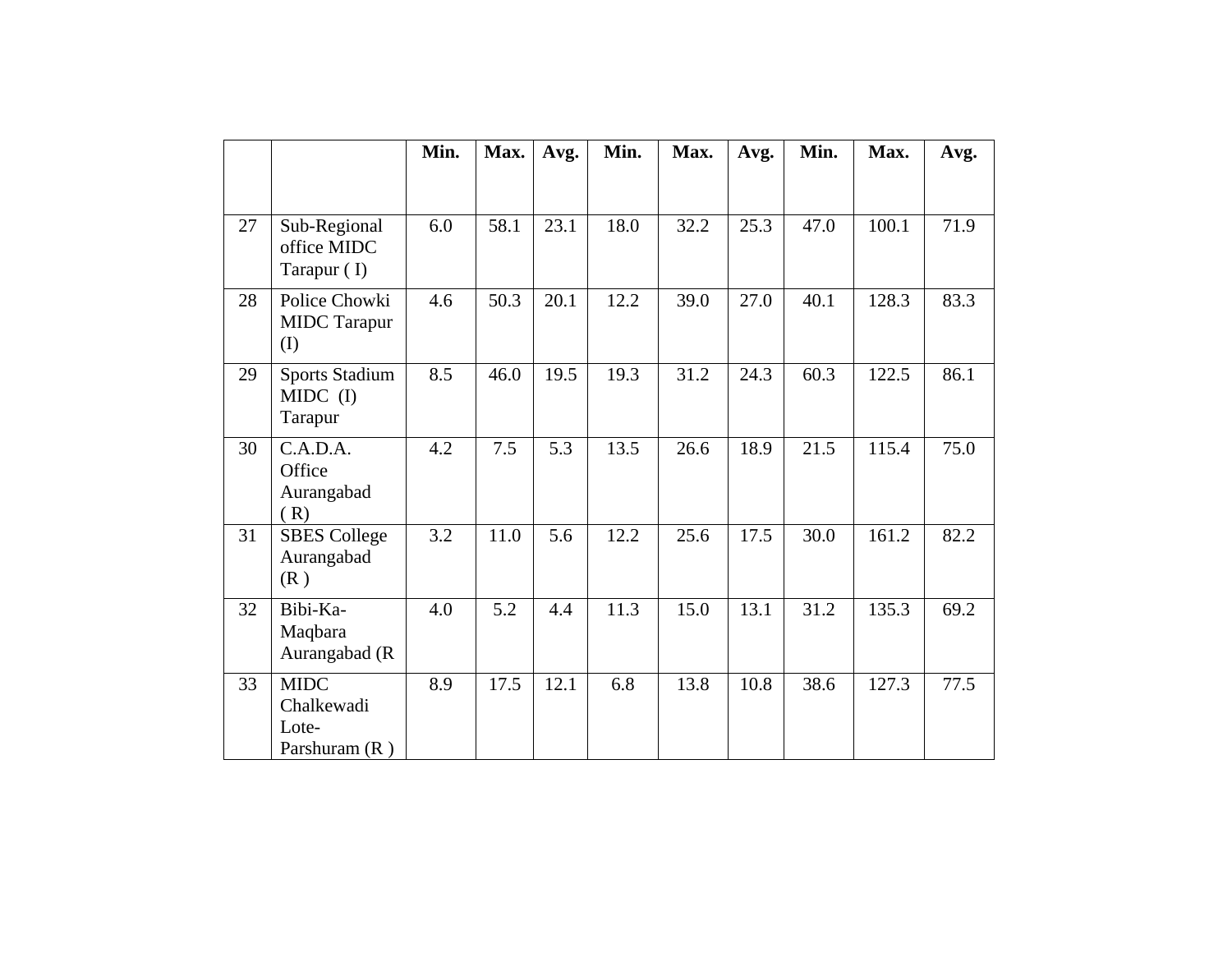|    |                                                       | Min. | Max. | Avg. | Min. | Max. | Avg. | Min. | Max.  | Avg. |
|----|-------------------------------------------------------|------|------|------|------|------|------|------|-------|------|
|    |                                                       |      |      |      |      |      |      |      |       |      |
| 27 | Sub-Regional<br>office MIDC<br>Tarapur (I)            | 6.0  | 58.1 | 23.1 | 18.0 | 32.2 | 25.3 | 47.0 | 100.1 | 71.9 |
| 28 | Police Chowki<br><b>MIDC</b> Tarapur<br>(I)           | 4.6  | 50.3 | 20.1 | 12.2 | 39.0 | 27.0 | 40.1 | 128.3 | 83.3 |
| 29 | <b>Sports Stadium</b><br>$MIDC$ (I)<br>Tarapur        | 8.5  | 46.0 | 19.5 | 19.3 | 31.2 | 24.3 | 60.3 | 122.5 | 86.1 |
| 30 | C.A.D.A.<br>Office<br>Aurangabad<br>(R)               | 4.2  | 7.5  | 5.3  | 13.5 | 26.6 | 18.9 | 21.5 | 115.4 | 75.0 |
| 31 | <b>SBES</b> College<br>Aurangabad<br>(R)              | 3.2  | 11.0 | 5.6  | 12.2 | 25.6 | 17.5 | 30.0 | 161.2 | 82.2 |
| 32 | Bibi-Ka-<br>Maqbara<br>Aurangabad (R                  | 4.0  | 5.2  | 4.4  | 11.3 | 15.0 | 13.1 | 31.2 | 135.3 | 69.2 |
| 33 | <b>MIDC</b><br>Chalkewadi<br>Lote-<br>Parshuram $(R)$ | 8.9  | 17.5 | 12.1 | 6.8  | 13.8 | 10.8 | 38.6 | 127.3 | 77.5 |